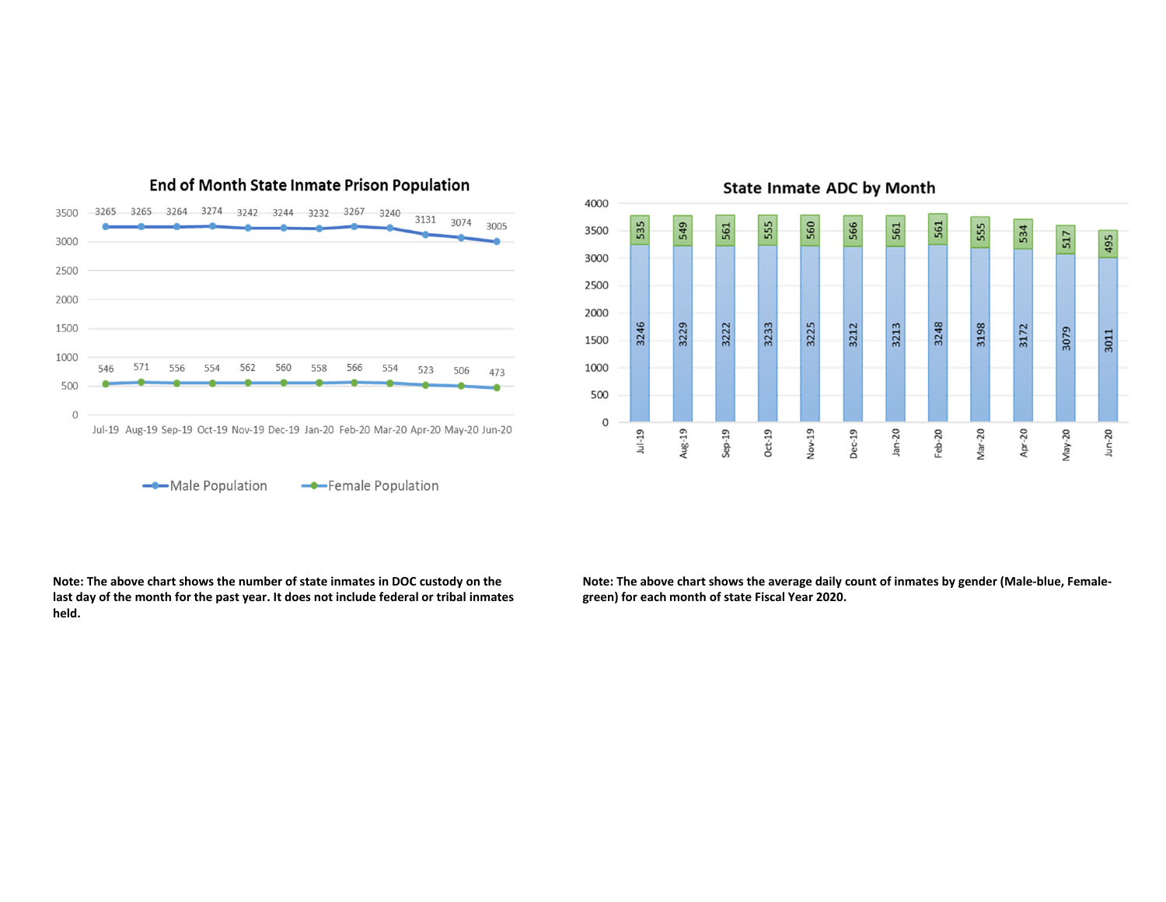

End of Month State Inmate Prison Population



**Note: The above chart shows the number of state inmates in DOC custody on the last day of the month for the past year. It does not include federal or tribal inmates held.**

**Note: The above chart shows the average daily count of inmates by gender (Male‐blue, Female‐ green) for each month of state Fiscal Year 2020.**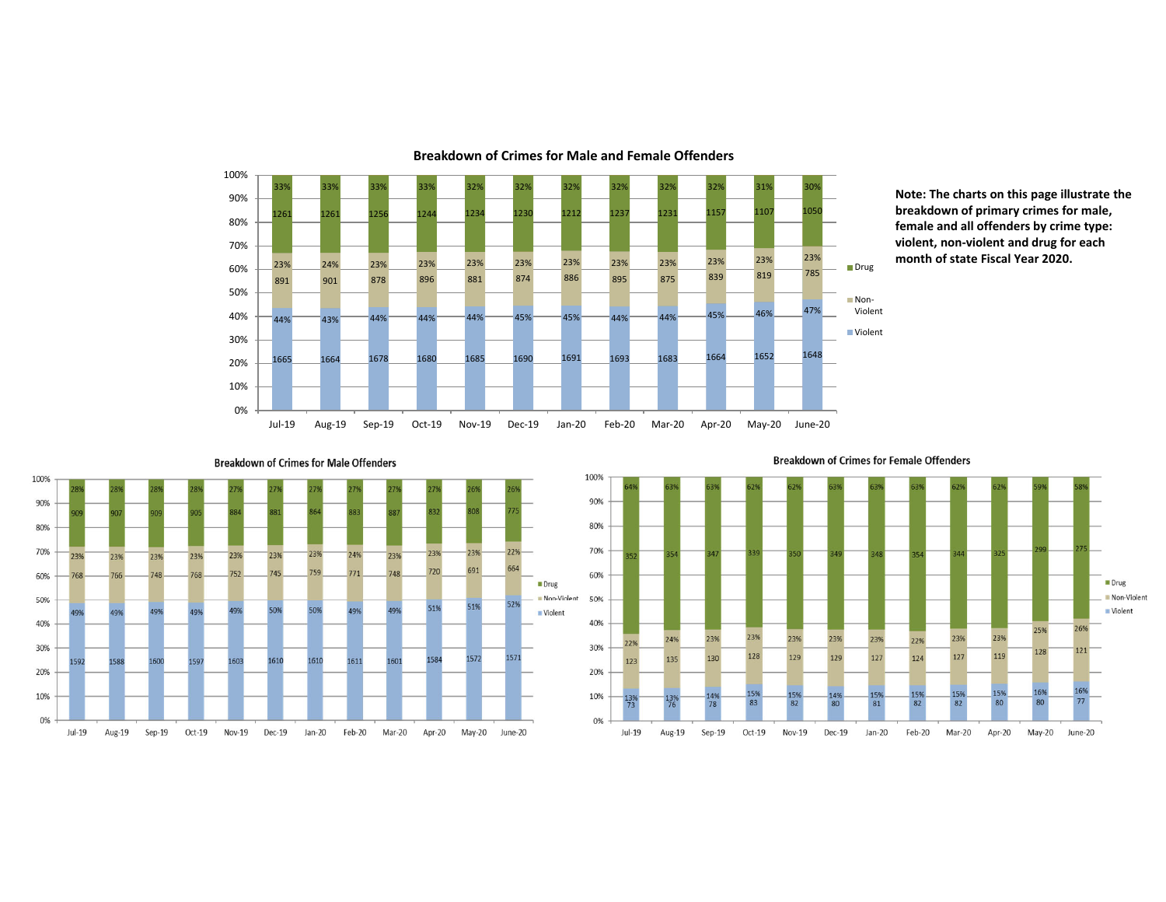

**Note: The charts on this page illustrate the breakdown of primary crimes for male, female and all offenders by crime type: violent, non‐violent and drug for each month of state Fiscal Year 2020.**



**Breakdown of Crimes for Male Offenders** 

**Breakdown of Crimes for Female Offenders**